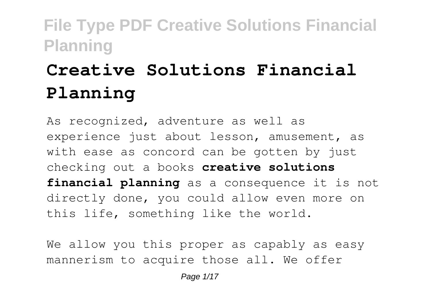# **Creative Solutions Financial Planning**

As recognized, adventure as well as experience just about lesson, amusement, as with ease as concord can be gotten by just checking out a books **creative solutions financial planning** as a consequence it is not directly done, you could allow even more on this life, something like the world.

We allow you this proper as capably as easy mannerism to acquire those all. We offer

Page 1/17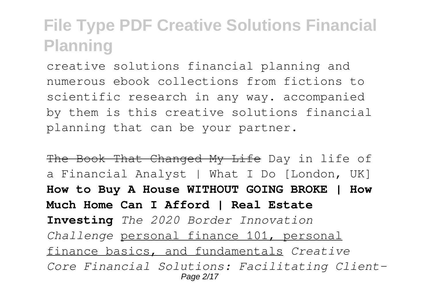creative solutions financial planning and numerous ebook collections from fictions to scientific research in any way. accompanied by them is this creative solutions financial planning that can be your partner.

The Book That Changed My Life Day in life of a Financial Analyst | What I Do [London, UK] **How to Buy A House WITHOUT GOING BROKE | How Much Home Can I Afford | Real Estate Investing** *The 2020 Border Innovation Challenge* personal finance 101, personal finance basics, and fundamentals *Creative Core Financial Solutions: Facilitating Client-*Page 2/17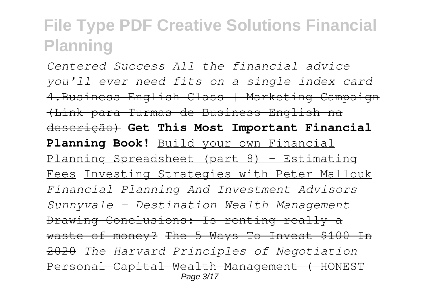*Centered Success All the financial advice you'll ever need fits on a single index card* 4.Business English Class | Marketing Campaign (Link para Turmas de Business English na descrição) **Get This Most Important Financial Planning Book!** Build your own Financial Planning Spreadsheet (part 8) - Estimating Fees Investing Strategies with Peter Mallouk *Financial Planning And Investment Advisors Sunnyvale - Destination Wealth Management* Drawing Conclusions: Is renting really a waste of money? The 5 Ways To Invest \$100 In 2020 *The Harvard Principles of Negotiation* Personal Capital Wealth Management ( HONEST Page 3/17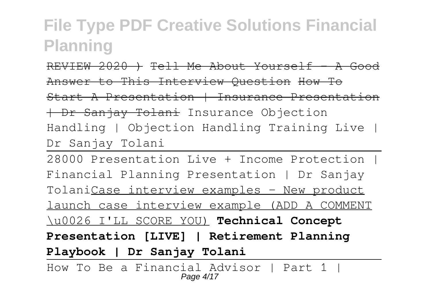REVIEW 2020 ) Tell Me About Yourself - A Good Answer to This Interview Question How To Start A Presentation | Insurance Presentation | Dr Sanjay Tolani Insurance Objection Handling | Objection Handling Training Live | Dr Sanjay Tolani

28000 Presentation Live + Income Protection | Financial Planning Presentation | Dr Sanjay TolaniCase interview examples - New product launch case interview example (ADD A COMMENT \u0026 I'LL SCORE YOU) **Technical Concept Presentation [LIVE] | Retirement Planning Playbook | Dr Sanjay Tolani**

How To Be a Financial Advisor | Part 1 | Page 4/17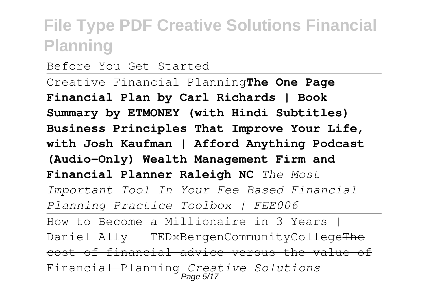Before You Get Started

Creative Financial Planning**The One Page Financial Plan by Carl Richards | Book Summary by ETMONEY (with Hindi Subtitles) Business Principles That Improve Your Life, with Josh Kaufman | Afford Anything Podcast (Audio-Only) Wealth Management Firm and Financial Planner Raleigh NC** *The Most Important Tool In Your Fee Based Financial Planning Practice Toolbox | FEE006* How to Become a Millionaire in 3 Years | Daniel Ally | TEDxBergenCommunityCollegeThe cost of financial advice versus the value of Financial Planning *Creative Solutions* Page 5/17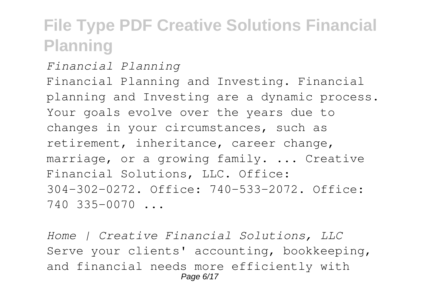*Financial Planning* Financial Planning and Investing. Financial planning and Investing are a dynamic process. Your goals evolve over the years due to changes in your circumstances, such as retirement, inheritance, career change, marriage, or a growing family. ... Creative Financial Solutions, LLC. Office: 304-302-0272. Office: 740-533-2072. Office: 740 335-0070 ...

*Home | Creative Financial Solutions, LLC* Serve your clients' accounting, bookkeeping, and financial needs more efficiently with Page 6/17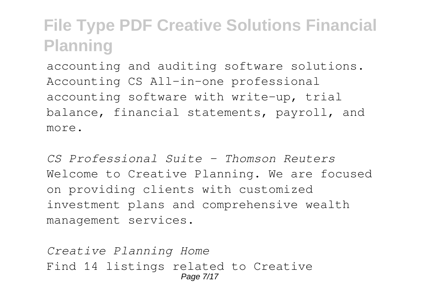accounting and auditing software solutions. Accounting CS All-in-one professional accounting software with write-up, trial balance, financial statements, payroll, and more.

*CS Professional Suite - Thomson Reuters* Welcome to Creative Planning. We are focused on providing clients with customized investment plans and comprehensive wealth management services.

*Creative Planning Home* Find 14 listings related to Creative Page 7/17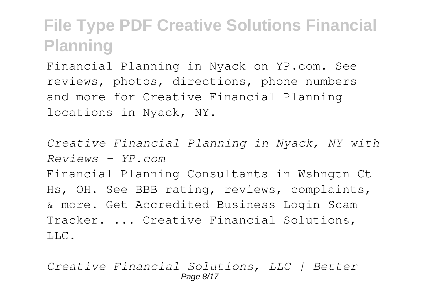Financial Planning in Nyack on YP.com. See reviews, photos, directions, phone numbers and more for Creative Financial Planning locations in Nyack, NY.

*Creative Financial Planning in Nyack, NY with Reviews - YP.com* Financial Planning Consultants in Wshngtn Ct Hs, OH. See BBB rating, reviews, complaints, & more. Get Accredited Business Login Scam Tracker. ... Creative Financial Solutions, LLC.

*Creative Financial Solutions, LLC | Better* Page 8/17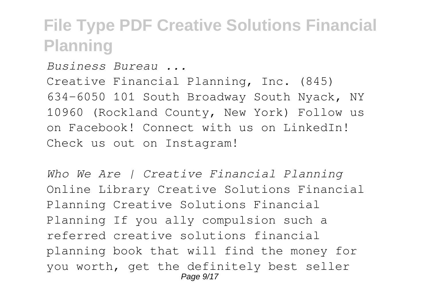*Business Bureau ...* Creative Financial Planning, Inc. (845) 634-6050 101 South Broadway South Nyack, NY 10960 (Rockland County, New York) Follow us on Facebook! Connect with us on LinkedIn! Check us out on Instagram!

*Who We Are | Creative Financial Planning* Online Library Creative Solutions Financial Planning Creative Solutions Financial Planning If you ally compulsion such a referred creative solutions financial planning book that will find the money for you worth, get the definitely best seller Page  $9/17$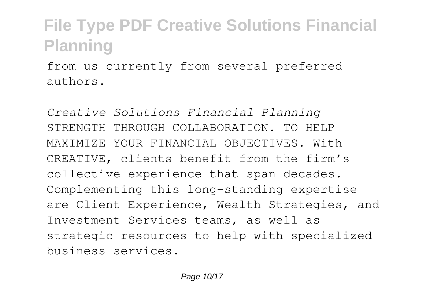from us currently from several preferred authors.

*Creative Solutions Financial Planning* STRENGTH THROUGH COLLABORATION. TO HELP MAXIMIZE YOUR FINANCIAL OBJECTIVES. With CREATIVE, clients benefit from the firm's collective experience that span decades. Complementing this long-standing expertise are Client Experience, Wealth Strategies, and Investment Services teams, as well as strategic resources to help with specialized business services.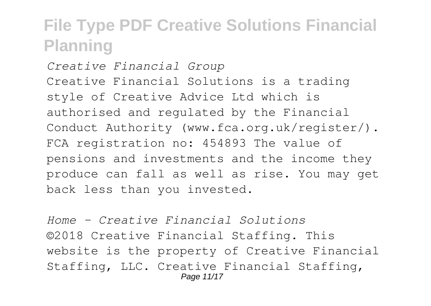*Creative Financial Group* Creative Financial Solutions is a trading style of Creative Advice Ltd which is authorised and regulated by the Financial Conduct Authority (www.fca.org.uk/register/). FCA registration no: 454893 The value of pensions and investments and the income they produce can fall as well as rise. You may get back less than you invested.

*Home - Creative Financial Solutions* ©2018 Creative Financial Staffing. This website is the property of Creative Financial Staffing, LLC. Creative Financial Staffing, Page 11/17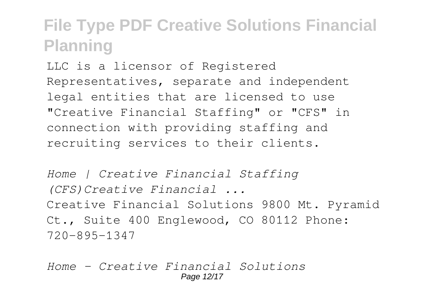LLC is a licensor of Registered Representatives, separate and independent legal entities that are licensed to use "Creative Financial Staffing" or "CFS" in connection with providing staffing and recruiting services to their clients.

*Home | Creative Financial Staffing (CFS)Creative Financial ...* Creative Financial Solutions 9800 Mt. Pyramid Ct., Suite 400 Englewood, CO 80112 Phone: 720-895-1347

*Home - Creative Financial Solutions* Page 12/17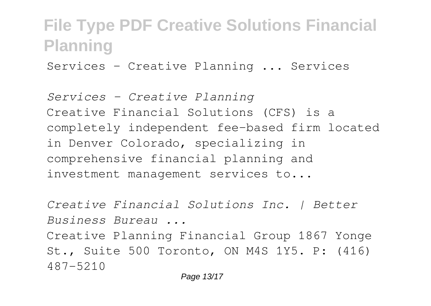Services - Creative Planning ... Services

*Services - Creative Planning* Creative Financial Solutions (CFS) is a completely independent fee-based firm located in Denver Colorado, specializing in comprehensive financial planning and investment management services to...

*Creative Financial Solutions Inc. | Better Business Bureau ...* Creative Planning Financial Group 1867 Yonge St., Suite 500 Toronto, ON M4S 1Y5. P: (416) 487-5210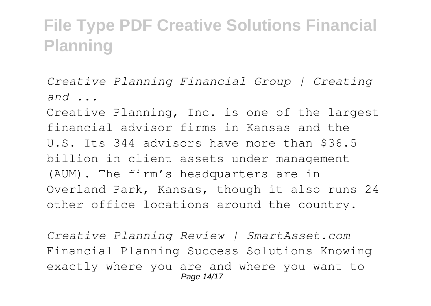*Creative Planning Financial Group | Creating and ...*

Creative Planning, Inc. is one of the largest financial advisor firms in Kansas and the U.S. Its 344 advisors have more than \$36.5 billion in client assets under management (AUM). The firm's headquarters are in Overland Park, Kansas, though it also runs 24 other office locations around the country.

*Creative Planning Review | SmartAsset.com* Financial Planning Success Solutions Knowing exactly where you are and where you want to Page 14/17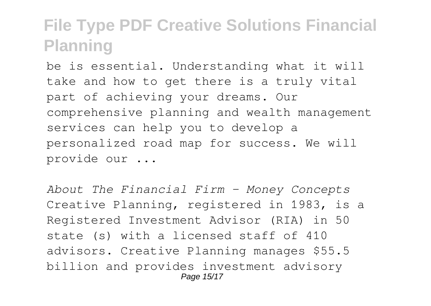be is essential. Understanding what it will take and how to get there is a truly vital part of achieving your dreams. Our comprehensive planning and wealth management services can help you to develop a personalized road map for success. We will provide our ...

*About The Financial Firm - Money Concepts* Creative Planning, registered in 1983, is a Registered Investment Advisor (RIA) in 50 state (s) with a licensed staff of 410 advisors. Creative Planning manages \$55.5 billion and provides investment advisory Page 15/17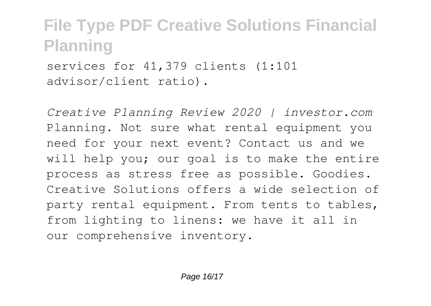services for 41,379 clients (1:101 advisor/client ratio).

*Creative Planning Review 2020 | investor.com* Planning. Not sure what rental equipment you need for your next event? Contact us and we will help you; our goal is to make the entire process as stress free as possible. Goodies. Creative Solutions offers a wide selection of party rental equipment. From tents to tables, from lighting to linens: we have it all in our comprehensive inventory.